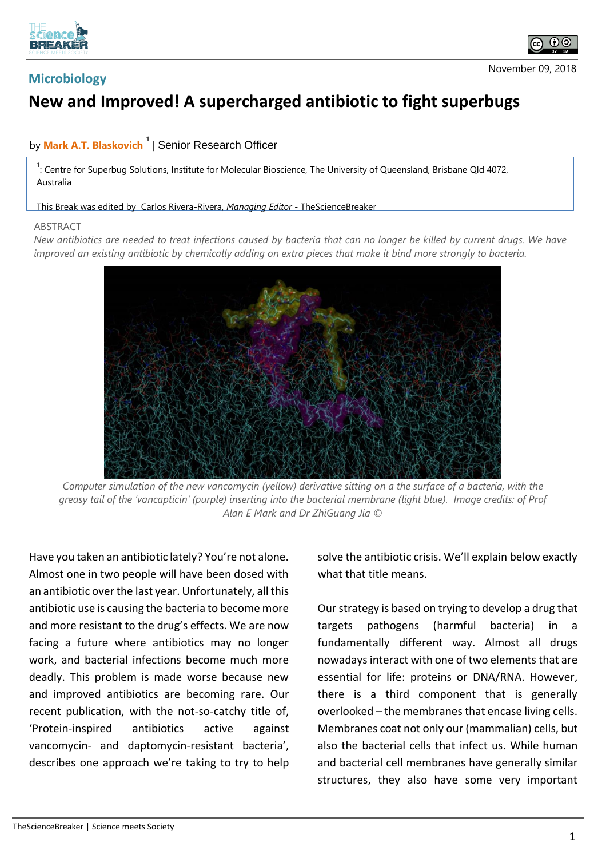

## **Microbiology**

## **New and Improved! A supercharged antibiotic to fight superbugs**

## by **Mark A.T. Blaskovich <sup>1</sup>** | Senior Research Officer

<sup>1</sup>: Centre for Superbug Solutions, Institute for Molecular Bioscience, The University of Queensland, Brisbane Qld 4072, Australia

This Break was edited by Carlos Rivera-Rivera, *Managing Editor* - TheScienceBreaker

## ABSTRACT

*New antibiotics are needed to treat infections caused by bacteria that can no longer be killed by current drugs. We have improved an existing antibiotic by chemically adding on extra pieces that make it bind more strongly to bacteria.*



*Computer simulation of the new vancomycin (yellow) derivative sitting on a the surface of a bacteria, with the greasy tail of the 'vancapticin' (purple) inserting into the bacterial membrane (light blue). Image credits: of Prof Alan E Mark and Dr ZhiGuang Jia ©*

Have you taken an antibiotic lately? You're not alone. Almost one in two people will have been dosed with an antibiotic over the last year. Unfortunately, all this antibiotic use is causing the bacteria to become more and more resistant to the drug's effects. We are now facing a future where antibiotics may no longer work, and bacterial infections become much more deadly. This problem is made worse because new and improved antibiotics are becoming rare. Our recent publication, with the not-so-catchy title of, 'Protein-inspired antibiotics active against vancomycin- and daptomycin-resistant bacteria', describes one approach we're taking to try to help

solve the antibiotic crisis. We'll explain below exactly what that title means.

Our strategy is based on trying to develop a drug that targets pathogens (harmful bacteria) in a fundamentally different way. Almost all drugs nowadays interact with one of two elements that are essential for life: proteins or DNA/RNA. However, there is a third component that is generally overlooked – the membranes that encase living cells. Membranes coat not only our (mammalian) cells, but also the bacterial cells that infect us. While human and bacterial cell membranes have generally similar structures, they also have some very important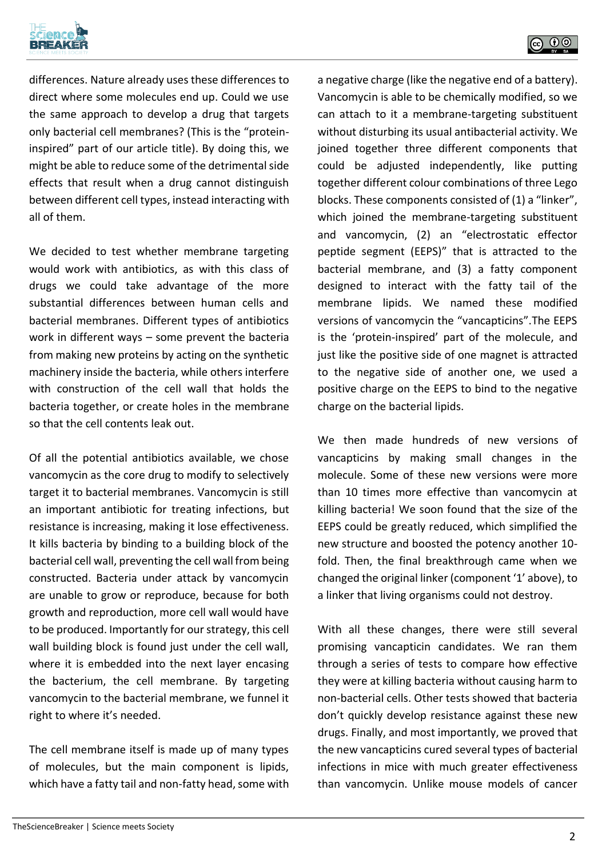



differences. Nature already uses these differences to direct where some molecules end up. Could we use the same approach to develop a drug that targets only bacterial cell membranes? (This is the "proteininspired" part of our article title). By doing this, we might be able to reduce some of the detrimental side effects that result when a drug cannot distinguish between different cell types, instead interacting with all of them.

We decided to test whether membrane targeting would work with antibiotics, as with this class of drugs we could take advantage of the more substantial differences between human cells and bacterial membranes. Different types of antibiotics work in different ways – some prevent the bacteria from making new proteins by acting on the synthetic machinery inside the bacteria, while others interfere with construction of the cell wall that holds the bacteria together, or create holes in the membrane so that the cell contents leak out.

Of all the potential antibiotics available, we chose vancomycin as the core drug to modify to selectively target it to bacterial membranes. Vancomycin is still an important antibiotic for treating infections, but resistance is increasing, making it lose effectiveness. It kills bacteria by binding to a building block of the bacterial cell wall, preventing the cell wall from being constructed. Bacteria under attack by vancomycin are unable to grow or reproduce, because for both growth and reproduction, more cell wall would have to be produced. Importantly for our strategy, this cell wall building block is found just under the cell wall, where it is embedded into the next layer encasing the bacterium, the cell membrane. By targeting vancomycin to the bacterial membrane, we funnel it right to where it's needed.

The cell membrane itself is made up of many types of molecules, but the main component is lipids, which have a fatty tail and non-fatty head, some with a negative charge (like the negative end of a battery). Vancomycin is able to be chemically modified, so we can attach to it a membrane-targeting substituent without disturbing its usual antibacterial activity. We joined together three different components that could be adjusted independently, like putting together different colour combinations of three Lego blocks. These components consisted of (1) a "linker", which joined the membrane-targeting substituent and vancomycin, (2) an "electrostatic effector peptide segment (EEPS)" that is attracted to the bacterial membrane, and (3) a fatty component designed to interact with the fatty tail of the membrane lipids. We named these modified versions of vancomycin the "vancapticins".The EEPS is the 'protein-inspired' part of the molecule, and just like the positive side of one magnet is attracted to the negative side of another one, we used a positive charge on the EEPS to bind to the negative charge on the bacterial lipids.

We then made hundreds of new versions of vancapticins by making small changes in the molecule. Some of these new versions were more than 10 times more effective than vancomycin at killing bacteria! We soon found that the size of the EEPS could be greatly reduced, which simplified the new structure and boosted the potency another 10 fold. Then, the final breakthrough came when we changed the original linker (component '1' above), to a linker that living organisms could not destroy.

With all these changes, there were still several promising vancapticin candidates. We ran them through a series of tests to compare how effective they were at killing bacteria without causing harm to non-bacterial cells. Other tests showed that bacteria don't quickly develop resistance against these new drugs. Finally, and most importantly, we proved that the new vancapticins cured several types of bacterial infections in mice with much greater effectiveness than vancomycin. Unlike mouse models of cancer